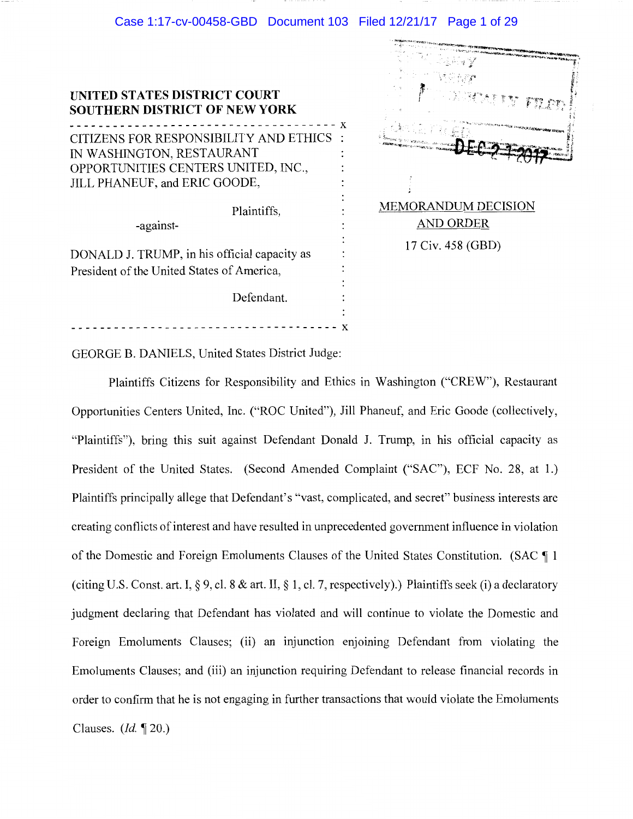## Case 1:17-cv-00458-GBD Document 103 Filed 12/21/17 Page 1 of 29

| <b>UNITED STATES DISTRICT COURT</b><br><b>SOUTHERN DISTRICT OF NEW YORK</b><br>---------- |  |
|-------------------------------------------------------------------------------------------|--|
| CITIZENS FOR RESPONSIBILITY AND ETHICS                                                    |  |
| IN WASHINGTON, RESTAURANT                                                                 |  |
| OPPORTUNITIES CENTERS UNITED, INC.,                                                       |  |
| JILL PHANEUF, and ERIC GOODE,                                                             |  |
|                                                                                           |  |
| Plaintiffs,                                                                               |  |
| -against-                                                                                 |  |
|                                                                                           |  |

DONALD J. TRUMP, in his official capacity as President of the United States of America,

Defendant.

MEMORANDUM DECISION AND ORDER 17 Civ. 458 (GBD)

GEORGE B. DANIELS, United States District Judge:

------------------------------------- <sup>x</sup>

Plaintiffs Citizens for Responsibility and Ethics in Washington ("CREW"), Restaurant Opportunities Centers United, Inc. ("ROC United"), Jill Phaneuf, and Eric Goode (collectively, "Plaintiffs"), bring this suit against Defendant Donald J. Trump, in his official capacity as President of the United States. (Second Amended Complaint ("SAC"), ECF No. 28, at 1.) Plaintiffs principally allege that Defendant's "vast, complicated, and secret" business interests are creating conflicts of interest and have resulted in unprecedented government influence in violation of the Domestic and Foreign Emoluments Clauses of the United States Constitution. (SAC ¶ 1 (citing U.S. Const. art. I,  $\S 9$ , cl. 8  $\&$  art. II,  $\S 1$ , cl. 7, respectively).) Plaintiffs seek (i) a declaratory judgment declaring that Defendant has violated and will continue to violate the Domestic and Foreign Emoluments Clauses; (ii) an injunction enjoining Defendant from violating the Emoluments Clauses; and (iii) an injunction requiring Defendant to release financial records in order to confirm that he is not engaging in further transactions that would violate the Emoluments Clauses. *(Id.* ~ 20.)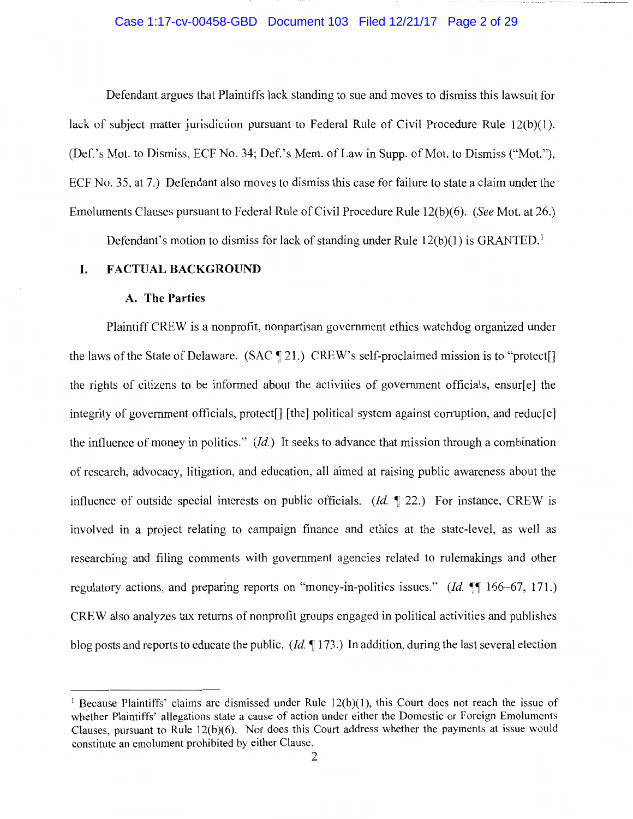### Case 1:17-cv-00458-GBD Document 103 Filed 12/21/17 Page 2 of 29

Defendant argues that Plaintiffs lack standing to sue and moves to dismiss this lawsuit for lack of subject matter jurisdiction pursuant to Federal Rule of Civil Procedure Rule 12(b)(l). (Def.'s Mot. to Dismiss, ECF No. 34; Def.'s Mem. of Law in Supp. of Mot. to Dismiss ("Mot."), ECF No. 35, at 7.) Defendant also moves to dismiss this case for failure to state a claim under the Emoluments Clauses pursuant to Federal Rule of Civil Procedure Rule 12(b)(6). *(See* Mot. at 26.)

Defendant's motion to dismiss for lack of standing under Rule  $12(b)(1)$  is GRANTED.<sup>1</sup>

### **I. FACTUAL BACKGROUND**

#### **A. The Parties**

Plaintiff CREW is a nonprofit, nonpartisan government ethics watchdog organized under the laws of the State of Delaware. (SAC  $\P$  21.) CREW's self-proclaimed mission is to "protect[] the rights of citizens to be informed about the activities of government officials, ensur[e] the integrity of government officials, protect[] [the] political system against corruption, and reduc[e] the influence of money in politics." *(Id.)* It seeks to advance that mission through a combination of research, advocacy, litigation, and education, all aimed at raising public awareness about the influence of outside special interests on public officials. *(Id.* 122.) For instance, CREW is involved in a project relating to campaign finance and ethics at the state-level, as well as researching and filing comments with government agencies related to rulemakings and other regulatory actions, and preparing reports on "money-in-politics issues." *(Id.*  $\P$  166-67, 171.) CREW also analyzes tax returns of nonprofit groups engaged in political activities and publishes blog posts and reports to educate the public. *(Id.* **if** 173.) In addition, during the last several election

<sup>&</sup>lt;sup>1</sup> Because Plaintiffs' claims are dismissed under Rule  $12(b)(1)$ , this Court does not reach the issue of whether Plaintiffs' allegations state a cause of action under either the Domestic or Foreign Emoluments Clauses, pursuant to Rule 12(b)(6). Nor does this Court address whether the payments at issue would constitute an emolument prohibited by either Clause.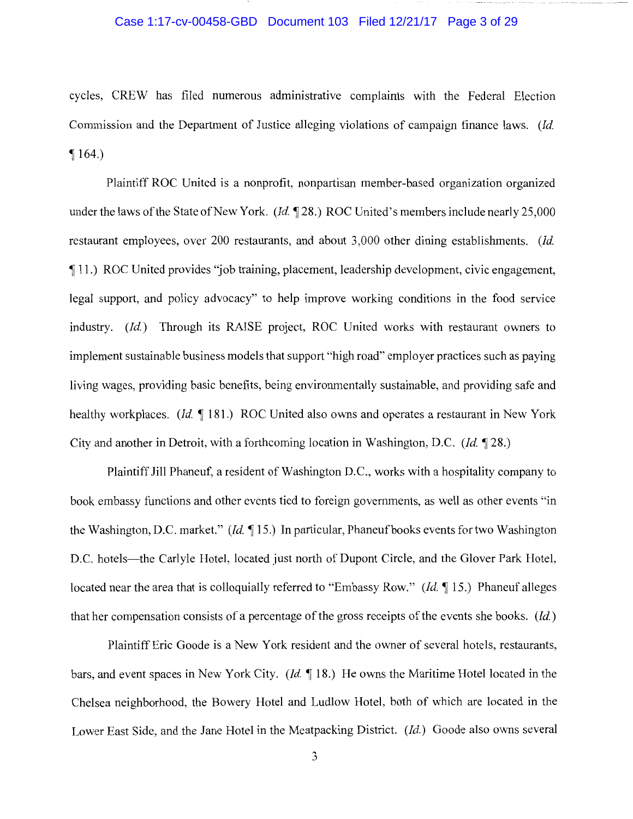## Case 1:17-cv-00458-GBD Document 103 Filed 12/21/17 Page 3 of 29

cycles, CREW has filed numerous administrative complaints with the Federal Election Commission and the Department of Justice alleging violations of campaign finance laws. *(Id.*   $\P$  164.)

Plaintiff ROC United is a nonprofit, nonpartisan member-based organization organized under the laws of the State of New York. *(Id.* 128.) ROC United's members include nearly 25,000 restaurant employees, over 200 restaurants, and about 3,000 other dining establishments. *(Id.*  if 11.) ROC United provides "job training, placement, leadership development, civic engagement, legal support, and policy advocacy" to help improve working conditions in the food service industry. *(Id.)* Through its RAISE project, ROC United works with restaurant owners to implement sustainable business models that support "high road" employer practices such as paying living wages, providing basic benefits, being environmentally sustainable, and providing safe and healthy workplaces. *(Id.* 181.) ROC United also owns and operates a restaurant in New York City and another in Detroit, with a forthcoming location in Washington, D.C. *(Id.* 128.)

Plaintiff Jill Phaneuf, a resident of Washington D.C., works with a hospitality company to book embassy functions and other events tied to foreign governments, as well as other events "in the Washington, D.C. market." *(Id.* 15.) In particular, Phaneuf books events for two Washington D.C. hotels—the Carlyle Hotel, located just north of Dupont Circle, and the Glover Park Hotel, located near the area that is colloquially referred to "Embassy Row." *(Id.* 15.) Phaneuf alleges that her compensation consists of a percentage of the gross receipts of the events she books. *(Id.)* 

Plaintiff Eric Goode is a New York resident and the owner of several hotels, restaurants, bars, and event spaces in New York City. *(Id.* 18.) He owns the Maritime Hotel located in the Chelsea neighborhood, the Bowery Hotel and Ludlow Hotel, both of which are located in the Lower East Side, and the Jane Hotel in the Meatpacking District. *(Id.)* Goode also owns several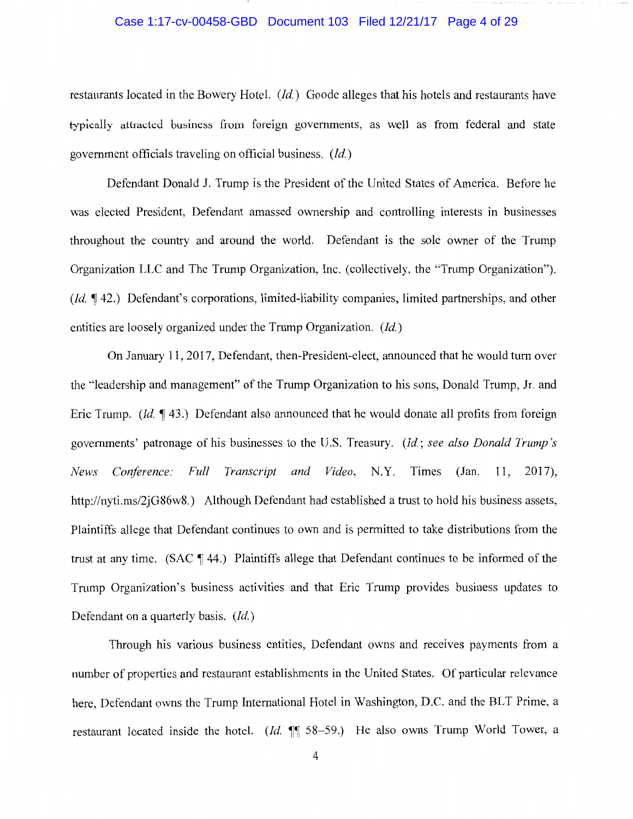#### Case 1:17-cv-00458-GBD Document 103 Filed 12/21/17 Page 4 of 29

restaurants located in the Bowery Hotel. *(Id.)* Goode alleges that his hotels and restaurants have typically attracted business from foreign governments, as well as from federal and state government officials traveling on official business. *(Id.)* 

Defendant Donald J. Trump is the President of the United States of America. Before he was elected President, Defendant amassed ownership and controlling interests in businesses throughout the country and around the world. Defendant is the sole owner of the Trump Organization LLC and The Trump Organization, Inc. (collectively, the "Trump Organization"). *(Id.*  $\P$  42.) Defendant's corporations, limited-liability companies, limited partnerships, and other entities are loosely organized under the Trump Organization. *(Id.)* 

On January 11, 2017, Defendant, then-President-elect, announced that he would tum over the "leadership and management" of the Trump Organization to his sons, Donald Trump, Jr. and Eric Trump. *(Id.* 143.) Defendant also announced that he would donate all profits from foreign governments' patronage of his businesses to the U.S. Treasury. *(Id.; see also Donald Trump's News Conference: Full Transcript and Video,* N.Y. Times (Jan. 11, 2017), http://nyti.ms/2jG86w8.) Although Defendant had established a trust to hold his business assets, Plaintiffs allege that Defendant continues to own and is permitted to take distributions from the trust at any time. (SAC  $\P$  44.) Plaintiffs allege that Defendant continues to be informed of the Trump Organization's business activities and that Eric Trump provides business updates to Defendant on a quarterly basis. *(Id.)* 

Through his various business entities, Defendant owns and receives payments from a number of properties and restaurant establishments in the United States. Of particular relevance here, Defendant owns the Trump International Hotel in Washington, D.C. and the BLT Prime, a restaurant located inside the hotel. (Id.  $\parallel$  58-59.) He also owns Trump World Tower, a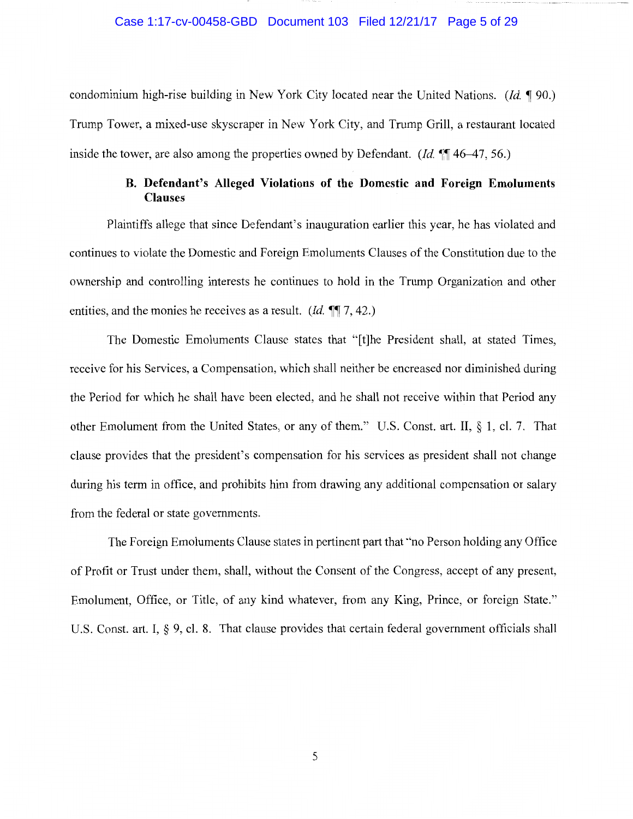#### Case 1:17-cv-00458-GBD Document 103 Filed 12/21/17 Page 5 of 29

condominium high-rise building in New York City located near the United Nations. *(Id.* 190.) Trump Tower, a mixed-use skyscraper in New York City, and Trump Grill, a restaurant located inside the tower, are also among the properties owned by Defendant. *(Id.*  $\P$  46–47, 56.)

## **B. Defendant's Alleged Violations of the Domestic and Foreign Emoluments Clauses**

Plaintiffs allege that since Defendant's inauguration earlier this year, he has violated and continues to violate the Domestic and Foreign Emoluments Clauses of the Constitution due to the ownership and controlling interests he continues to hold in the Trump Organization and other entities, and the monies he receives as a result. *(Id.*  $\P$ , 7, 42.)

The Domestic Emoluments Clause states that "[t]he President shall, at stated Times, receive for his Services, a Compensation, which shall neither be encreased nor diminished during the Period for which he shall have been elected, and he shall not receive within that Period any other Emolument from the United States, or any of them." U.S. Const. art. II, § 1, cl. 7. That clause provides that the president's compensation for his services as president shall not change during his term in office, and prohibits him from drawing any additional compensation or salary from the federal or state governments.

The Foreign Emoluments Clause states in pertinent part that "no Person holding any Office of Profit or Trust under them, shall, without the Consent of the Congress, accept of any present, Emolument, Office, or Title, of any kind whatever, from any King, Prince, or foreign State." U.S. Const. art. I, § 9, cl. 8. That clause provides that certain federal government officials shall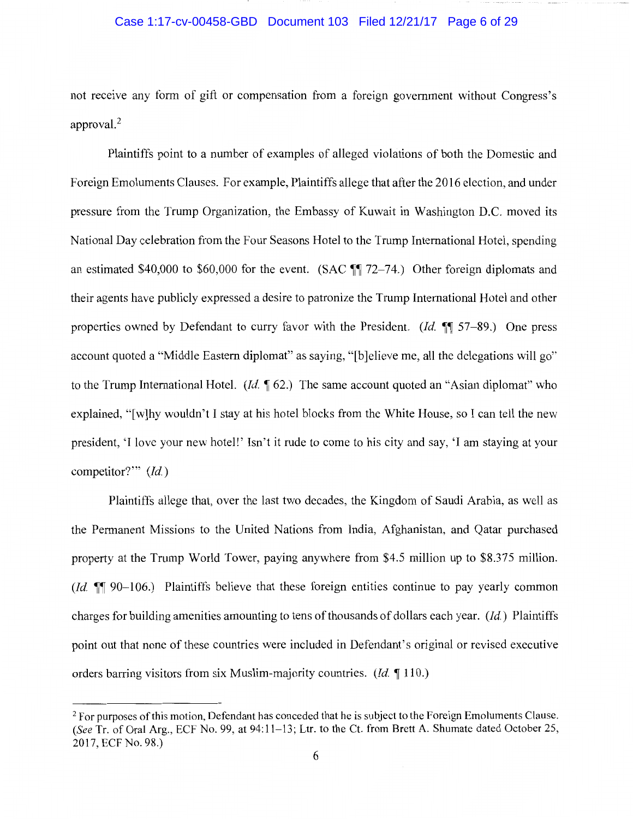### Case 1:17-cv-00458-GBD Document 103 Filed 12/21/17 Page 6 of 29

not receive any form of gift or compensation from a foreign government without Congress's approval.<sup>2</sup>

Plaintiffs point to a number of examples of alleged violations of both the Domestic and Foreign Emoluments Clauses. For example, Plaintiffs allege that after the 2016 election, and under pressure from the Trump Organization, the Embassy of Kuwait in Washington D.C. moved its National Day celebration from the Four Seasons Hotel to the Trump International Hotel, spending an estimated \$40,000 to \$60,000 for the event. (SAC  $\mathbb{I}$  72–74.) Other foreign diplomats and their agents have publicly expressed a desire to patronize the Trump International Hotel and other properties owned by Defendant to curry favor with the President. *(Id.* **i**] 57–89.) One press account quoted a "Middle Eastern diplomat" as saying, "[b]elieve me, all the delegations will go" to the Trump International Hotel. *(Id.* 162.) The same account quoted an "Asian diplomat" who explained, "[w]hy wouldn't I stay at his hotel blocks from the White House, so I can tell the new president, 'I love your new hotel!' Isn't it rude to come to his city and say, 'I am staying at your competitor?"' *(Id.)* 

Plaintiffs allege that, over the last two decades, the Kingdom of Saudi Arabia, as well as the Permanent Missions to the United Nations from India, Afghanistan, and Qatar purchased property at the Trump World Tower, paying anywhere from \$4.5 million up to \$8.375 million. *(Id.*  $\mathbb{I}$  90-106.) Plaintiffs believe that these foreign entities continue to pay yearly common charges for building amenities amounting to tens of thousands of dollars each year. *(Id.)* Plaintiffs point out that none of these countries were included in Defendant's original or revised executive orders barring visitors from six Muslim-majority countries. *(Id.* 110.)

<sup>&</sup>lt;sup>2</sup> For purposes of this motion, Defendant has conceded that he is subject to the Foreign Emoluments Clause. *(See* Tr. of Oral Arg., ECF No. 99, at 94:11-13; Ltr. to the Ct. from Brett A. Shumate dated October 25, 2017, ECF No. 98.)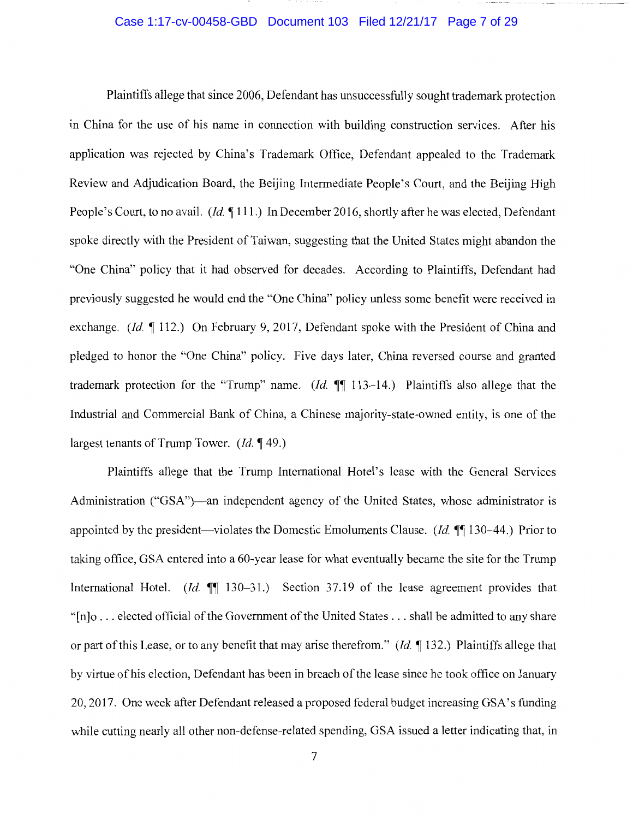## Case 1:17-cv-00458-GBD Document 103 Filed 12/21/17 Page 7 of 29

Plaintiffs allege that since 2006, Defendant has unsuccessfully sought trademark protection in China for the use of his name in connection with building construction services. After his application was rejected by China's Trademark Office, Defendant appealed to the Trademark Review and Adjudication Board, the Beijing Intermediate People's Court, and the Beijing High People's Court, to no avail. *(Id.* 111.) In December 2016, shortly after he was elected, Defendant spoke directly with the President of Taiwan, suggesting that the United States might abandon the "One China" policy that it had observed for decades. According to Plaintiffs, Defendant had previously suggested he would end the "One China" policy unless some benefit were received in exchange. *(Id.* 112.) On February 9, 2017, Defendant spoke with the President of China and pledged to honor the "One China" policy. Five days later, China reversed course and granted trademark protection for the "Trump" name. *(Id.*  $\P\P$  113-14.) Plaintiffs also allege that the Industrial and Commercial Bank of China, a Chinese majority-state-owned entity, is one of the largest tenants of Trump Tower. (*Id.*  $\P$  49.)

Plaintiffs allege that the Trump International Hotel's lease with the General Services Administration ("GSA")—an independent agency of the United States, whose administrator is appointed by the president—violates the Domestic Emoluments Clause. *(Id.* ¶ 130–44.) Prior to taking office, GSA entered into a 60-year lease for what eventually became the site for the Trump International Hotel. *(Id.*  $\llbracket \llbracket 130-31.$ ) Section 37.19 of the lease agreement provides that "[n]o ... elected official of the Government of the United States ... shall be admitted to any share or part of this Lease, or to any benefit that may arise therefrom." *(Id.* ~ 132.) Plaintiffs allege that by virtue of his election, Defendant has been in breach of the lease since he took office on January 20, 2017. One week after Defendant released a proposed federal budget increasing GSA's funding while cutting nearly all other non-defense-related spending, GSA issued a letter indicating that, in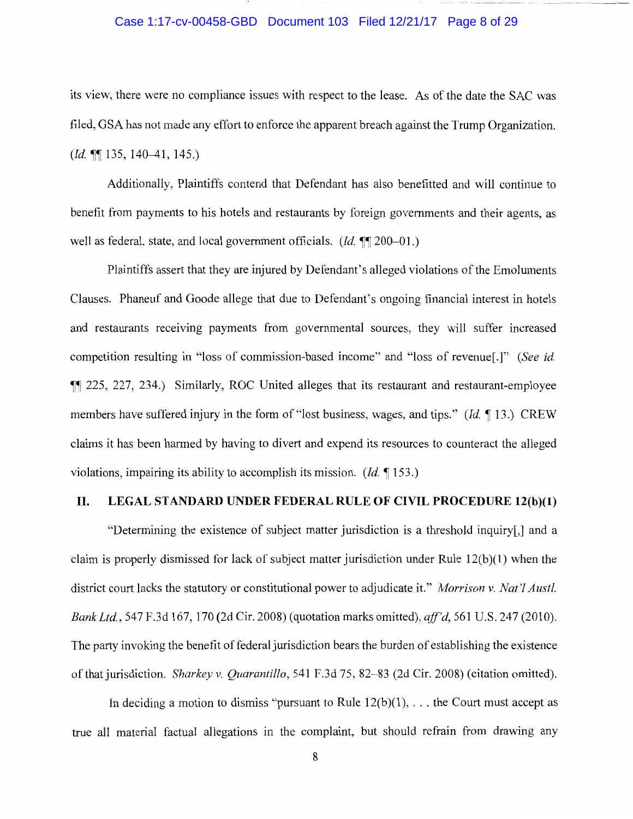### Case 1:17-cv-00458-GBD Document 103 Filed 12/21/17 Page 8 of 29

its view, there were no compliance issues with respect to the lease. As of the date the SAC was filed, GSA has not made any effort to enforce the apparent breach against the Trump Organization. *(Id.*  $\P$ [135, 140-41, 145.)

Additionally, Plaintiffs contend that Defendant has also benefitted and will continue to benefit from payments to his hotels and restaurants by foreign governments and their agents, as well as federal, state, and local government officials. *(Id.* **11** 200–01.)

Plaintiffs assert that they are injured by Defendant's alleged violations of the Emoluments Clauses. Phaneuf and Goode allege that due to Defendant's ongoing financial interest in hotels and restaurants receiving payments from governmental sources, they will suffer increased competition resulting in "loss of commission-based income" and "loss of revenue[.]" *(See id.*  **III** 225, 227, 234.) Similarly, ROC United alleges that its restaurant and restaurant-employee members have suffered injury in the form of "lost business, wages, and tips." *(Id.* 13.) CREW claims it has been harmed by having to divert and expend its resources to counteract the alleged violations, impairing its ability to accomplish its mission. *(Id.* 153.)

## **II. LEGAL STANDARD UNDER FEDERAL RULE OF CIVIL PROCEDURE 12(b)(l)**

"Determining the existence of subject matter jurisdiction is a threshold inquiry[,] and a claim is properly dismissed for lack of subject matter jurisdiction under Rule  $12(b)(1)$  when the district court lacks the statutory or constitutional power to adjudicate it." *Morrison v. Nat 'l Aust!. Bank Ltd.,* 547 F.3d 167, 170 (2d Cir. 2008) (quotation marks omitted), *ajf'd,* 561U.S.247 (2010). The party invoking the benefit of federal jurisdiction bears the burden of establishing the existence of that jurisdiction. *Sharkey v. Quarantillo,* 541 F.3d 75, 82-83 (2d Cir. 2008) (citation omitted).

In deciding a motion to dismiss "pursuant to Rule  $12(b)(1)$ , ... the Court must accept as true all material factual allegations in the complaint, but should refrain from drawing any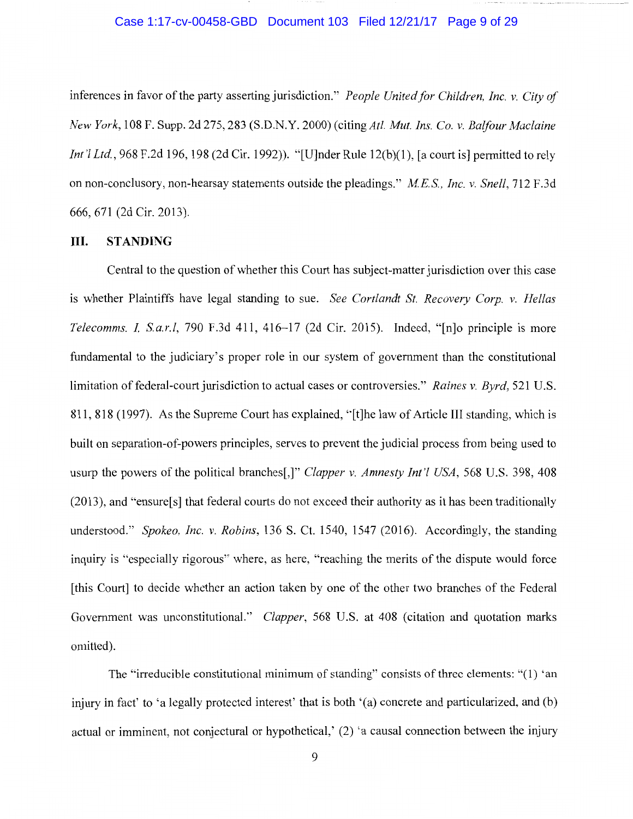#### Case 1:17-cv-00458-GBD Document 103 Filed 12/21/17 Page 9 of 29

inferences in favor of the party asserting jurisdiction." *People United for Children, Inc. v. City of New York,* 108 F. Supp. 2d 275, 283 (S.D.N.Y. 2000) (citingAtl. *Mut. Ins. Co. v. Balfour Maclaine Int'l Ltd.*, 968 F.2d 196, 198 (2d Cir. 1992)). "[U]nder Rule 12(b)(1), [a court is] permitted to rely on non-conclusory, non-hearsay statements outside the pleadings." *MES., Inc. v. Snell,* 712 F.3d 666, 671 (2d Cir. 2013).

## **III. STANDING**

Central to the question of whether this Court has subject-matter jurisdiction over this case is whether Plaintiffs have legal standing to sue. *See Cortlandt St. Recovery Corp. v. Hellas Telecomms.* I, *S.a.r.l,* 790 F.3d 411, 416-17 (2d Cir. 2015). Indeed, "[n]o principle is more fundamental to the judiciary's proper role in our system of government than the constitutional limitation of federal-court jurisdiction to actual cases or controversies." *Raines v. Byrd,* 521 U.S. 811, 818 (1997). As the Supreme Court has explained, "[t]he law of Article III standing, which is built on separation-of-powers principles, serves to prevent the judicial process from being used to usurp the powers of the political branches[,]" *Clapper v. Amnesty Int 'l USA,* 568 U.S. 398, 408 (2013), and "ensure[s] that federal courts do not exceed their authority as it has been traditionally understood." *Spokeo, Inc. v. Robins,* 136 S. Ct. 1540, 1547 (2016). Accordingly, the standing inquiry is "especially rigorous" where, as here, "reaching the merits of the dispute would force [this Court] to decide whether an action taken by one of the other two branches of the Federal Government was unconstitutional." *Clapper,* 568 U.S. at 408 (citation and quotation marks omitted).

The "irreducible constitutional minimum of standing" consists of three clements: "(I) 'an injury in fact' to 'a legally protected interest' that is both '(a) concrete and particularized, and (b) actual or imminent, not conjectural or hypothetical,' (2) 'a causal connection between the injury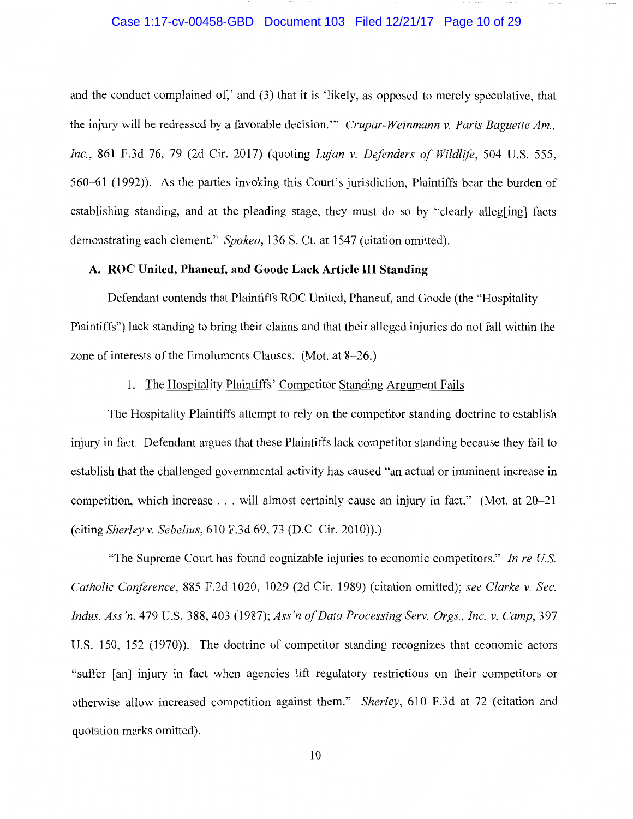### Case 1:17-cv-00458-GBD Document 103 Filed 12/21/17 Page 10 of 29

and the conduct complained of,' and (3) that it is 'likely, as opposed to merely speculative, that the injury will be redressed by a favorable decision."' *Crupar-Weinmann v. Paris Baguette Am., Inc.,* 861 F.3d 76, 79 (2d Cir. 2017) (quoting *Lujan v. Defenders of Wildlife,* 504 U.S. 555, 560-61 (1992)). As the parties invoking this Court's jurisdiction, Plaintiffs bear the burden of establishing standing, and at the pleading stage, they must do so by "clearly alleg[ing] facts demonstrating each element." *Spokeo,* 136 S. Ct. at 1547 (citation omitted).

## **A. ROC United, Phaneuf, and Goode Lack Article III Standing**

Defendant contends that Plaintiffs ROC United, Phaneuf, and Goode (the "Hospitality Plaintiffs") lack standing to bring their claims and that their alleged injuries do not fall within the zone of interests of the Emoluments Clauses. (Mot. at 8-26.)

## 1. The Hospitality Plaintiffs' Competitor Standing Argument Fails

The Hospitality Plaintiffs attempt to rely on the competitor standing doctrine to establish injury in fact. Defendant argues that these Plaintiffs lack competitor standing because they fail to establish that the challenged governmental activity has caused "an actual or imminent increase in competition, which increase ... will almost certainly cause an injury in fact." (Mot. at 20-21 (citing *Sherley v. Sebelius,* 610 F.3d 69, 73 (D.C. Cir. 2010)).)

"The Supreme Court has found cognizable injuries to economic competitors." *In re US. Catholic Conference,* 885 F.2d 1020, 1029 (2d Cir. 1989) (citation omitted); *see Clarke v. Sec. Indus. Ass'n,* 479 U.S. 388, 403 (1987); *Ass'n of Data Processing Serv. Orgs., Inc. v. Camp,* 397 U.S. 150, 152 (1970)). The doctrine of competitor standing recognizes that economic actors "suffer [an] injury in fact when agencies lift regulatory restrictions on their competitors or otherwise allow increased competition against them." *Sherley,* 610 F.3d at 72 (citation and quotation marks omitted).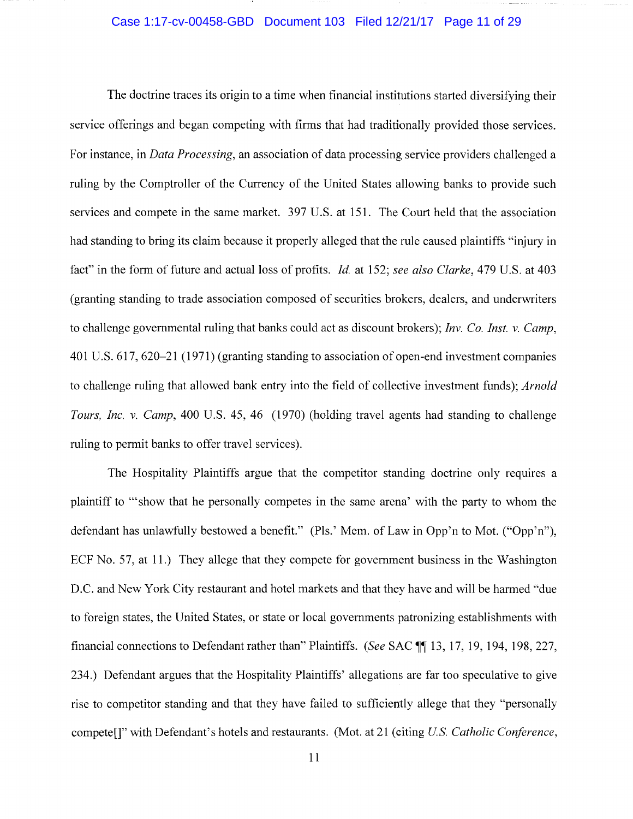## Case 1:17-cv-00458-GBD Document 103 Filed 12/21/17 Page 11 of 29

The doctrine traces its origin to a time when financial institutions started diversifying their service offerings and began competing with firms that had traditionally provided those services. For instance, in *Data Processing,* an association of data processing service providers challenged a ruling by the Comptroller of the Currency of the United States allowing banks to provide such services and compete in the same market. 397 U.S. at 151. The Court held that the association had standing to bring its claim because it properly alleged that the rule caused plaintiffs "injury in fact" in the form of future and actual loss of profits. *Id.* at 152; *see also Clarke,* 479 U.S. at 403 (granting standing to trade association composed of securities brokers, dealers, and underwriters to challenge governmental ruling that banks could act as discount brokers); *Inv. Co. Inst. v. Camp,*  401 U.S. 617, 620-21 (1971) (granting standing to association of open-end investment companies to challenge ruling that allowed bank entry into the field of collective investment funds); *Arnold Tours, Inc. v. Camp,* 400 U.S. 45, 46 (1970) (holding travel agents had standing to challenge ruling to permit banks to offer travel services).

The Hospitality Plaintiffs argue that the competitor standing doctrine only requires a plaintiff to '"show that he personally competes in the same arena' with the party to whom the defendant has unlawfully bestowed a benefit." (Pls.' Mem. of Law in Opp'n to Mot. ("Opp'n"), ECF No. 57, at 11.) They allege that they compete for government business in the Washington D.C. and New York City restaurant and hotel markets and that they have and will be harmed "due to foreign states, the United States, or state or local governments patronizing establishments with financial connections to Defendant rather than" Plaintiffs. *(See SAC ¶ 13, 17, 19, 194, 198, 227,* 234.) Defendant argues that the Hospitality Plaintiffs' allegations are far too speculative to give rise to competitor standing and that they have failed to sufficiently allege that they "personally compete[]" with Defendant's hotels and restaurants. (Mot. at 21 (citing *US. Catholic Conference,*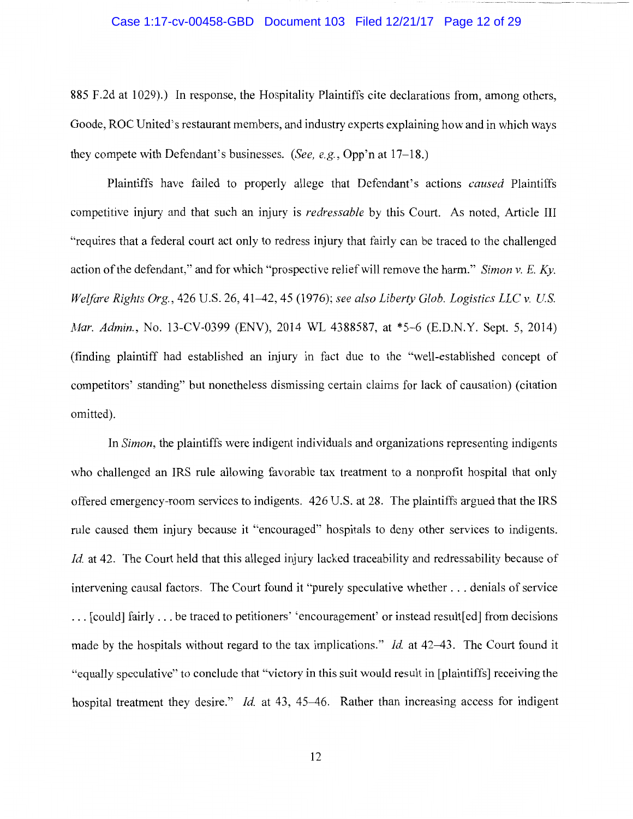#### Case 1:17-cv-00458-GBD Document 103 Filed 12/21/17 Page 12 of 29

885 F .2d at 1029).) In response, the Hospitality Plaintiffs cite declarations from, among others, Goode, ROC United's restaurant members, and industry experts explaining how and in which ways they compete with Defendant's businesses. *(See, e.g.,* Opp'n at 17-18.)

Plaintiffs have failed to properly allege that Defendant's actions *caused* Plaintiffs competitive injury and that such an injury is *redressable* by this Court. As noted, Article III "requires that a federal court act only to redress injury that fairly can be traced to the challenged action of the defendant," and for which "prospective relief will remove the harm." *Simon v.* E. *Ky. Welfare Rights Org.,* 426 U.S. 26, 41-42, 45 (1976); *see also Liberty Glob. Logistics LLC v. US. Mar. Admin.,* No. 13-CV-0399 (ENV), 2014 WL 4388587, at \*5-6 (E.D.N.Y. Sept. 5, 2014) (finding plaintiff had established an injury in fact due to the "well-established concept of competitors' standing" but nonetheless dismissing certain claims for lack of causation) (citation omitted).

In *Simon,* the plaintiffs were indigent individuals and organizations representing indigents who challenged an IRS rule allowing favorable tax treatment to a nonprofit hospital that only offered emergency-room services to indigents. 426 U.S. at 28. The plaintiffs argued that the IRS rule caused them injury because it "encouraged" hospitals to deny other services to indigents. *Id.* at 42. The Court held that this alleged injury lacked traceability and redressability because of intervening causal factors. The Court found it "purely speculative whether ... denials of service ... [could] fairly ... be traced to petitioners' 'encouragement' or instead result [ed] from decisions made by the hospitals without regard to the tax implications." *Id* at 42-43. The Court found it "equally speculative" to conclude that "victory in this suit would result in [plaintiffs] receiving the hospital treatment they desire." *Id.* at 43, 45-46. Rather than increasing access for indigent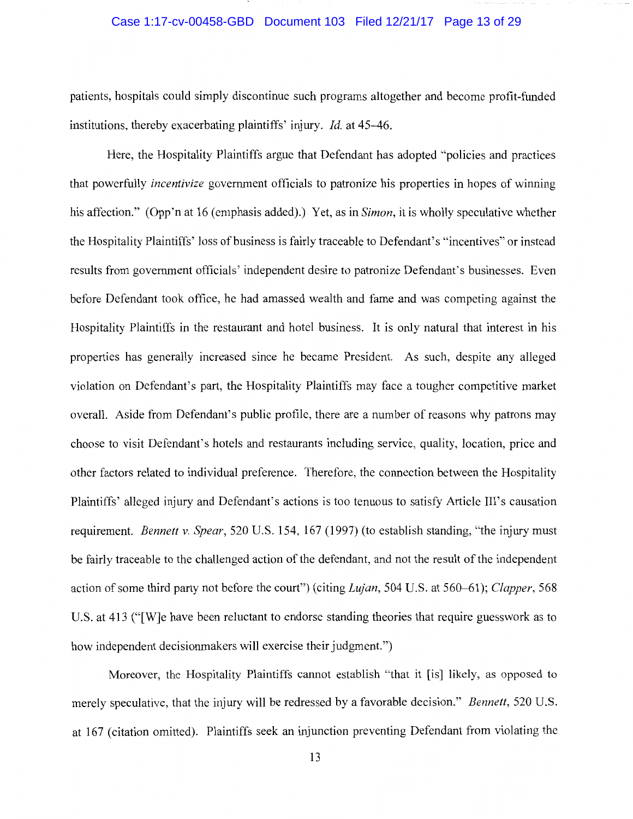#### Case 1:17-cv-00458-GBD Document 103 Filed 12/21/17 Page 13 of 29

patients, hospitals could simply discontinue such programs altogether and become profit-funded institutions, thereby exacerbating plaintiffs' injury. *Id.* at 45-46.

Here, the Hospitality Plaintiffs argue that Defendant has adopted "policies and practices that powerfully *incentivize* government officials to patronize his properties in hopes of winning his affection." (Opp 'n at 16 (emphasis added).) Yet, as in *Simon,* it is wholly speculative whether the Hospitality Plaintiffs' loss of business is fairly traceable to Defendant's "incentives" or instead results from government officials' independent desire to patronize Defendant's businesses. Even before Defendant took office, he had amassed wealth and fame and was competing against the Hospitality Plaintiffs in the restaurant and hotel business. It is only natural that interest in his properties has generally increased since he became President. As such, despite any alleged violation on Defendant's part, the Hospitality Plaintiffs may face a tougher competitive market overall. Aside from Defendant's public profile, there are a number of reasons why patrons may choose to visit Defendant's hotels and restaurants including service, quality, location, price and other factors related to individual preference. Therefore, the connection between the Hospitality Plaintiffs' alleged injury and Defendant's actions is too tenuous to satisfy Article Ill's causation requirement. *Bennett v. Spear,* 520 U.S. 154, 167 (1997) (to establish standing, "the injury must be fairly traceable to the challenged action of the defendant, and not the result of the independent action of some third party not before the court") (citing *Lujan,* 504 U.S. at 560-61); *Clapper,* 568 U.S. at 413 ("[W]e have been reluctant to endorse standing theories that require guesswork as to how independent decisionmakers will exercise their judgment.")

Moreover, the Hospitality Plaintiffs cannot establish "that it [is] likely, as opposed to merely speculative, that the injury will be redressed by a favorable decision." *Bennett,* 520 U.S. at 167 (citation omitted). Plaintiffs seek an injunction preventing Defendant from violating the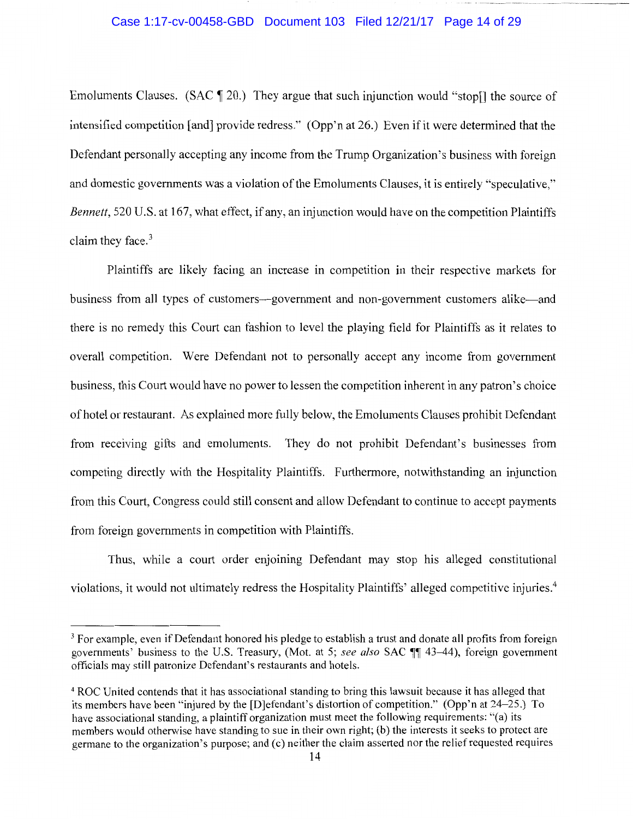### Case 1:17-cv-00458-GBD Document 103 Filed 12/21/17 Page 14 of 29

Emoluments Clauses. (SAC  $\llbracket 20.$ ) They argue that such injunction would "stop[] the source of intensified competition [and] provide redress." (Opp'n at 26.) Even if it were determined that the Defendant personally accepting any income from the Trump Organization's business with foreign and domestic governments was a violation of the Emoluments Clauses, it is entirely "speculative," *Bennett,* 520 U.S. at 167, what effect, if any, an injunction would have on the competition Plaintiffs claim they face. $3$ 

Plaintiffs are likely facing an increase in competition in their respective markets for business from all types of customers—government and non-government customers alike—and there is no remedy this Court can fashion to level the playing field for Plaintiffs as it relates to overall competition. Were Defendant not to personally accept any income from government business, this Court would have no power to lessen the competition inherent in any patron's choice of hotel or restaurant. As explained more fully below, the Emoluments Clauses prohibit Defendant from receiving gifts and emoluments. They do not prohibit Defendant's businesses from competing directly with the Hospitality Plaintiffs. Furthermore, notwithstanding an injunction from this Court, Congress could still consent and allow Defendant to continue to accept payments from foreign governments in competition with Plaintiffs.

Thus, while a court order enjoining Defendant may stop his alleged constitutional violations, it would not ultimately redress the Hospitality Plaintiffs' alleged competitive injuries.4

<sup>&</sup>lt;sup>3</sup> For example, even if Defendant honored his pledge to establish a trust and donate all profits from foreign governments' business to the U.S. Treasury, (Mot. at 5; see also SAC  $\P$  43-44), foreign government officials may still patronize Defendant's restaurants and hotels.

<sup>4</sup> ROC United contends that it has associational standing to bring this lawsuit because it has alleged that its members have been "injured by the [D]efendant's distortion of competition." (Opp'n at 24-25.) To have associational standing, a plaintiff organization must meet the following requirements: "(a) its members would otherwise have standing to sue in their own right; (b) the interests it seeks to protect are germane to the organization's purpose; and (c) neither the claim asserted nor the relief requested requires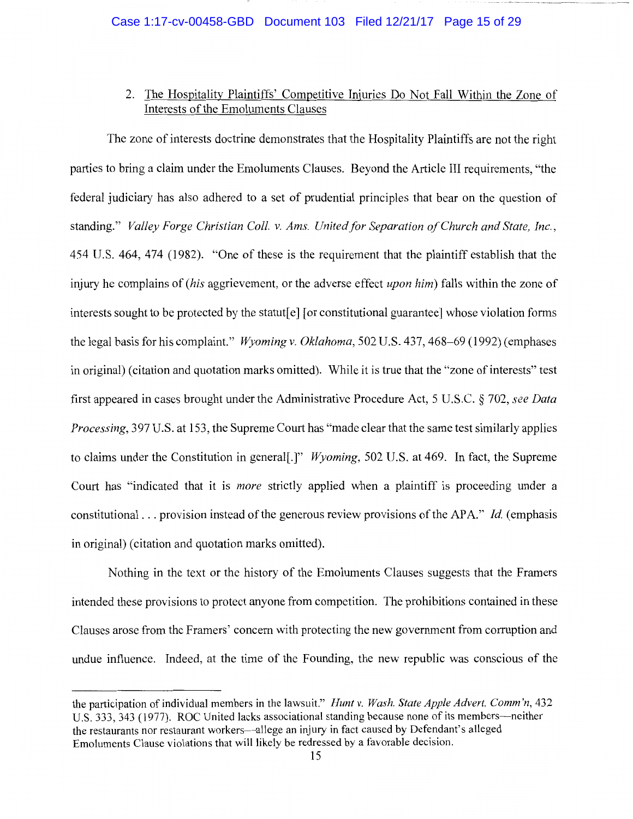## 2. The Hospitality Plaintiffs' Competitive Injuries Do Not Fall Within the Zone of Interests of the Emoluments Clauses

The zone of interests doctrine demonstrates that the Hospitality Plaintiffs are not the right parties to bring a claim under the Emoluments Clauses. Beyond the Article III requirements, "the federal judiciary has also adhered to a set of prudential principles that bear on the question of standing." *Valley Forge Christian Coll. v. Ams. United for Separation of Church and State, Inc.,*  454 U.S. 464, 474 (1982). "One of these is the requirement that the plaintiff establish that the injury he complains of *(his* aggrievement, or the adverse effect *upon him)* falls within the zone of interests sought to be protected by the statut[ e] [or constitutional guarantee] whose violation forms the legal basis for his complaint." *Wyoming v. Oklahoma,* 502 U.S. 437, 468-69 (1992) (emphases in original) (citation and quotation marks omitted). While it is true that the "zone of interests" test first appeared in cases brought under the Administrative Procedure Act, 5 U.S.C. § 702, *see Data Processing,* 397 U.S. at 153, the Supreme Court has "made clear that the same test similarly applies to claims under the Constitution in general[.]" *Wyoming,* 502 U.S. at 469. In fact, the Supreme Court has "indicated that it is *more* strictly applied when a plaintiff is proceeding under a constitutional ... provision instead of the generous review provisions of the AP A." *Id.* (emphasis in original) (citation and quotation marks omitted).

Nothing in the text or the history of the Emoluments Clauses suggests that the Framers intended these provisions to protect anyone from competition. The prohibitions contained in these Clauses arose from the Framers' concern with protecting the new government from corruption and undue influence. Indeed, at the time of the Founding, the new republic was conscious of the

the participation of individual members in the lawsuit." *Hunt v. Wash. State Apple Advert. Comm 'n,* 432 U.S. 333, 343 (1977). ROC United lacks associational standing because none of its members—neither the restaurants nor restaurant workers-allege an injury in fact caused by Defendant's alleged Emoluments Clause violations that will likely be redressed by a favorable decision.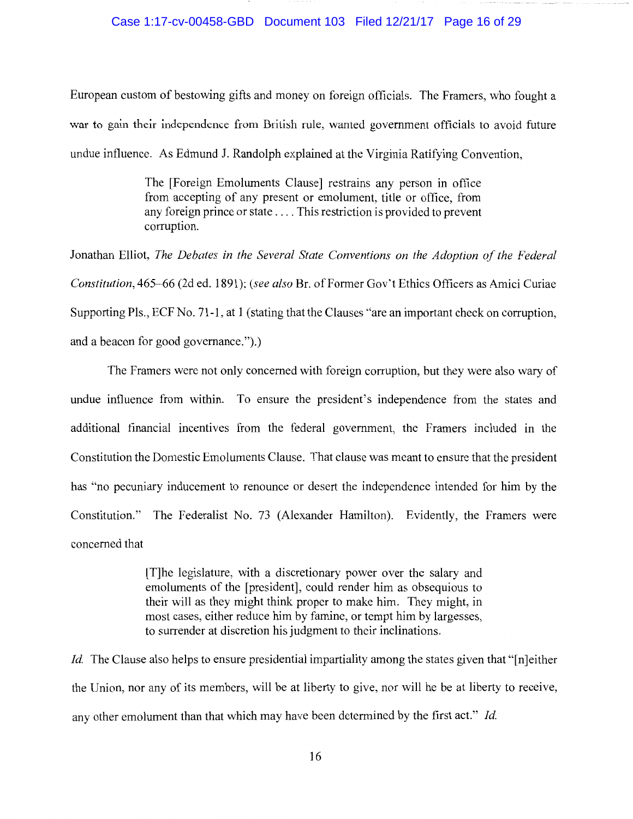### Case 1:17-cv-00458-GBD Document 103 Filed 12/21/17 Page 16 of 29

European custom of bestowing gifts and money on foreign officials. The Framers, who fought a war to gain their independence from British rule, wanted government officials to avoid future undue influence. As Edmund J. Randolph explained at the Virginia Ratifying Convention,

> The [Foreign Emoluments Clause] restrains any person in office from accepting of any present or emolument, title or office, from any foreign prince or state .... This restriction is provided to prevent corruption.

Jonathan Elliot, *The Debates in the Several State Conventions on the Adoption of the Federal Constitution,* 465-66 (2d ed. 1891); *(see also* Br. of Former Gov't Ethics Officers as Amici Curiae Supporting Pls., ECF No. 71-1, at 1 (stating that the Clauses "are an important check on corruption, and a beacon for good governance.").)

The Framers were not only concerned with foreign corruption, but they were also wary of undue influence from within. To ensure the president's independence from the states and additional financial incentives from the federal government, the Framers included in the Constitution the Domestic Emoluments Clause. That clause was meant to ensure that the president has "no pecuniary inducement to renounce or desert the independence intended for him by the Constitution." The Federalist No. 73 (Alexander Hamilton). Evidently, the Framers were concerned that

> [T]he legislature, with a discretionary power over the salary and emoluments of the [president], could render him as obsequious to their will as they might think proper to make him. They might, in most cases, either reduce him by famine, or tempt him by largesses, to surrender at discretion his judgment to their inclinations.

*Id.* The Clause also helps to ensure presidential impartiality among the states given that "[n]either the Union, nor any of its members, will be at liberty to give, nor will he be at liberty to receive, any other emolument than that which may have been determined by the first act." *Id.*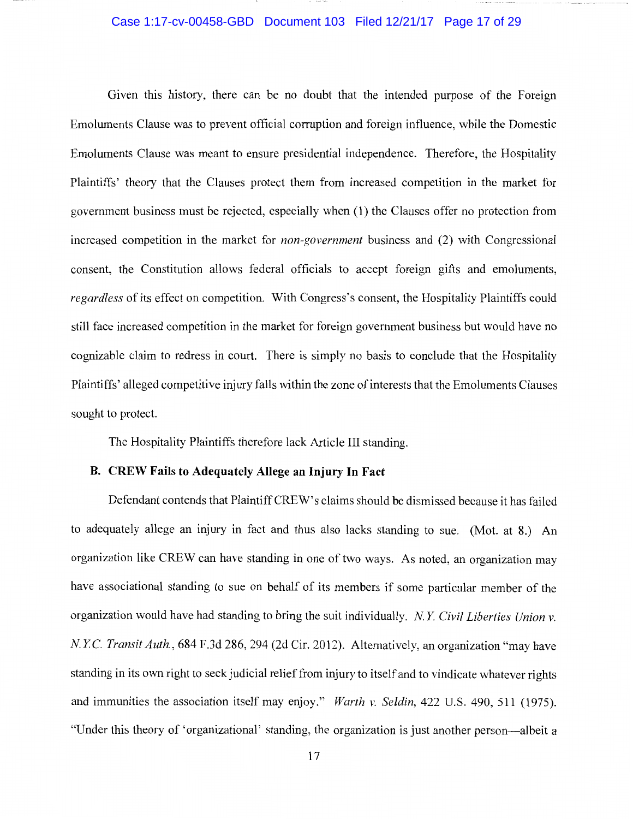#### Case 1:17-cv-00458-GBD Document 103 Filed 12/21/17 Page 17 of 29

Given this history, there can be no doubt that the intended purpose of the Foreign Emoluments Clause was to prevent official corruption and foreign influence, while the Domestic Emoluments Clause was meant to ensure presidential independence. Therefore, the Hospitality Plaintiffs' theory that the Clauses protect them from increased competition in the market for government business must be rejected, especially when (1) the Clauses offer no protection from increased competition in the market for *non-government* business and (2) with Congressional consent, the Constitution allows federal officials to accept foreign gifts and emoluments, *regardless* of its effect on competition. With Congress's consent, the Hospitality Plaintiffs could still face increased competition in the market for foreign government business but would have no cognizable claim to redress in court. There is simply no basis to conclude that the Hospitality Plaintiffs' alleged competitive injury falls within the zone of interests that the Emoluments Clauses sought to protect.

The Hospitality Plaintiffs therefore lack Article III standing.

#### **B. CREW Fails to Adequately Allege an Injury In Fact**

Defendant contends that Plaintiff CREW's claims should be dismissed because it has failed to adequately allege an injury in fact and thus also lacks standing to sue. (Mot. at 8.) An organization like CREW can have standing in one of two ways. As noted, an organization may have associational standing to sue on behalf of its members if some particular member of the organization would have had standing to bring the suit individually. *N. Y Civil Liberties Union v. N. YC. Transit Auth.,* 684 F.3d 286, 294 (2d Cir. 2012). Alternatively, an organization "may have standing in its own right to seek judicial relief from injury to itself and to vindicate whatever rights and immunities the association itself may enjoy." *Warth v. Seldin,* 422 U.S. 490, 511 (1975). "Under this theory of 'organizational' standing, the organization is just another person-albeit a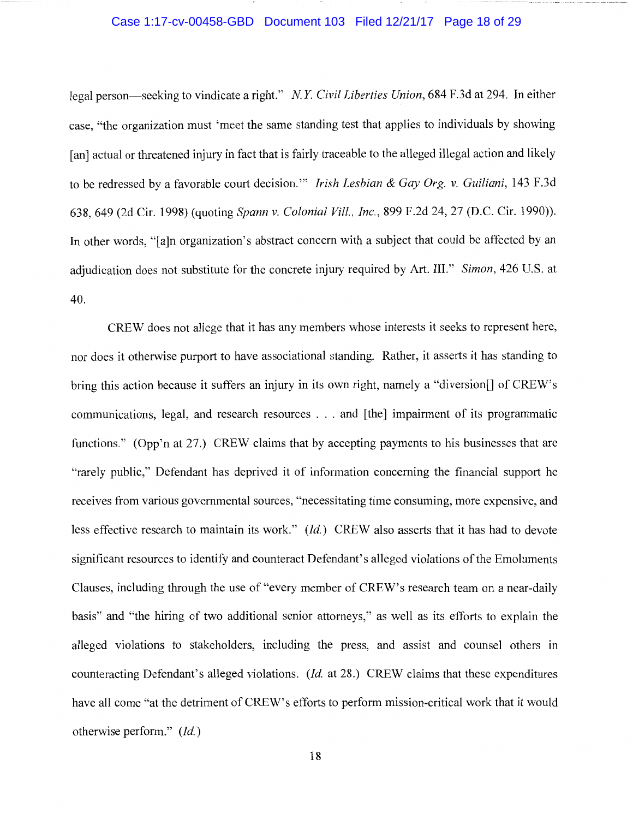## Case 1:17-cv-00458-GBD Document 103 Filed 12/21/17 Page 18 of 29

legal person-seeking to vindicate a right." *N. Y Civil Liberties Union,* 684 F.3d at 294. In either case, "the organization must 'meet the same standing test that applies to individuals by showing [an] actual or threatened injury in fact that is fairly traceable to the alleged illegal action and likely to be redressed by a favorable court decision."' *Irish Lesbian* & *Gay Org. v. Guiliani,* 143 F .3d 638, 649 (2d Cir. 1998) (quoting *Spann v. Colonial Vill., Inc.,* 899 F.2d 24, 27 (D.C. Cir. 1990)). In other words, "[a]n organization's abstract concern with a subject that could be affected by an adjudication does not substitute for the concrete injury required by Art. III." *Simon,* 426 U.S. at 40.

CREW does not allege that it has any members whose interests it seeks to represent here, nor does it otherwise purport to have associational standing. Rather, it asserts it has standing to bring this action because it suffers an injury in its own right, namely a "diversion[] of CREW's communications, legal, and research resources ... and [the] impairment of its programmatic functions." (Opp'n at 27.) CREW claims that by accepting payments to his businesses that are "rarely public," Defendant has deprived it of information concerning the financial support he receives from various governmental sources, "necessitating time consuming, more expensive, and less effective research to maintain its work." *(Id.)* CREW also asserts that it has had to devote significant resources to identify and counteract Defendant's alleged violations of the Emoluments Clauses, including through the use of "every member of CREW's research team on a near-daily basis" and "the hiring of two additional senior attorneys," as well as its efforts to explain the alleged violations to stakeholders, including the press, and assist and counsel others in counteracting Defendant's alleged violations. *(Id.* at 28.) CREW claims that these expenditures have all come "at the detriment of CREW's efforts to perform mission-critical work that it would otherwise perform." *(Id.)*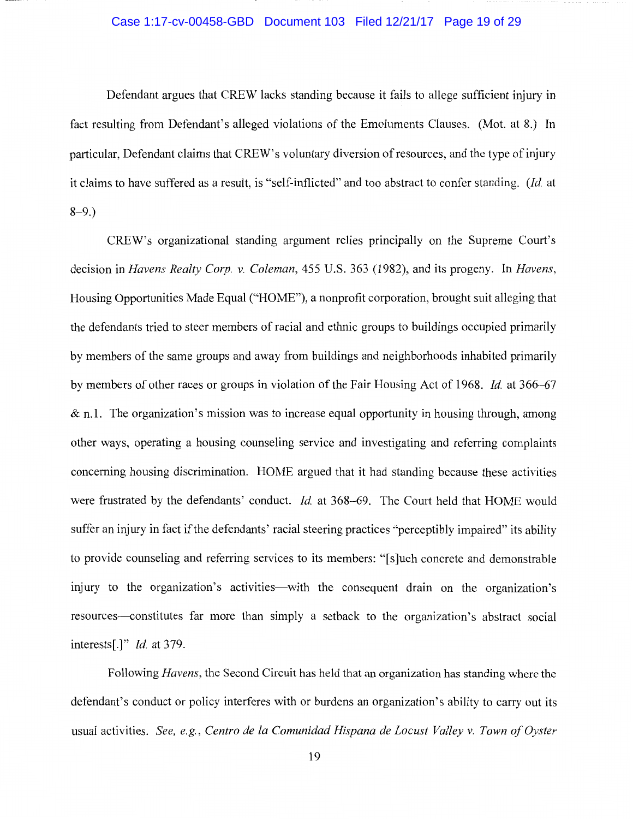#### Case 1:17-cv-00458-GBD Document 103 Filed 12/21/17 Page 19 of 29

Defendant argues that CREW lacks standing because it fails to allege sufficient injury in fact resulting from Defendant's alleged violations of the Emoluments Clauses. (Mot. at 8.) In particular, Defendant claims that CREW's voluntary diversion of resources, and the type of injury it claims to have suffered as a result, is "self-inflicted" and too abstract to confer standing. *(Id.* at  $8-9.$ )

CREW's organizational standing argument relies principally on the Supreme Court's decision in *Havens Realty Corp. v. Coleman,* 455 U.S. 363 (1982), and its progeny. In *Havens,*  Housing Opportunities Made Equal ("HOME"), a nonprofit corporation, brought suit alleging that the defendants tried to steer members of racial and ethnic groups to buildings occupied primarily by members of the same groups and away from buildings and neighborhoods inhabited primarily by members of other races or groups in violation of the Fair Housing Act of 1968. *Id.* at 366-67  $\&$  n.1. The organization's mission was to increase equal opportunity in housing through, among other ways, operating a housing counseling service and investigating and referring complaints concerning housing discrimination. HOME argued that it had standing because these activities were frustrated by the defendants' conduct. *Id.* at 368-69. The Court held that HOME would suffer an injury in fact if the defendants' racial steering practices "perceptibly impaired" its ability to provide counseling and referring services to its members: "[ s ]uch concrete and demonstrable injury to the organization's activities—with the consequent drain on the organization's resources-constitutes far more than simply a setback to the organization's abstract social interests[.]" *Id.* at 379.

Following *Havens,* the Second Circuit has held that an organization has standing where the defendant's conduct or policy interferes with or burdens an organization's ability to carry out its usual activities. *See, e.g., Centro de la Comunidad Hispana de Locust Valley v. Town of Oyster*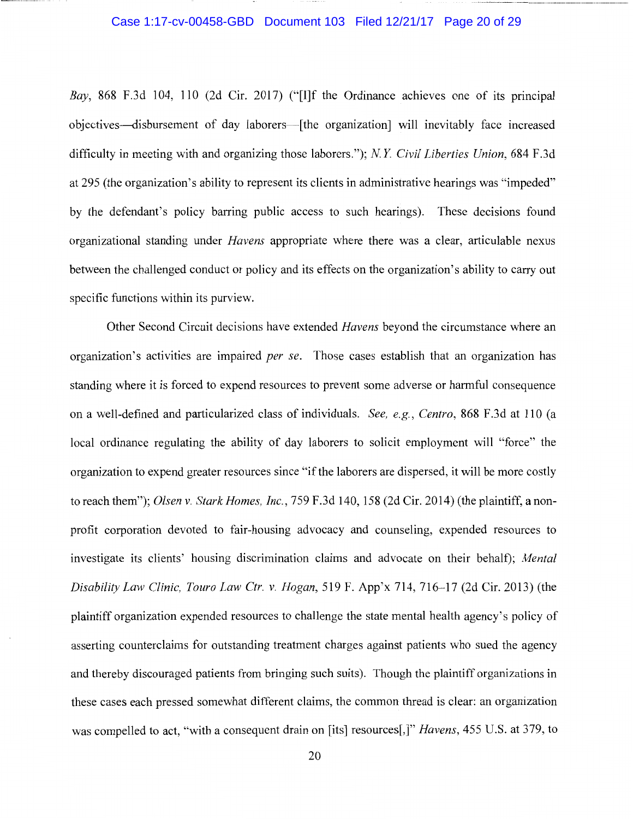#### Case 1:17-cv-00458-GBD Document 103 Filed 12/21/17 Page 20 of 29

*Bay,* 868 F .3d 104, 110 (2d Cir. 2017) ("[I]f the Ordinance achieves one of its principal objectives-disbursement of day laborers-[the organization] will inevitably face increased difficulty in meeting with and organizing those laborers."); *NY Civil Liberties Union,* 684 F.3d at 295 (the organization's ability to represent its clients in administrative hearings was "impeded" by the defendant's policy barring public access to such hearings). These decisions found organizational standing under *Havens* appropriate where there was a clear, articulable nexus between the challenged conduct or policy and its effects on the organization's ability to carry out specific functions within its purview.

Other Second Circuit decisions have extended *Havens* beyond the circumstance where an organization's activities are impaired *per se.* Those cases establish that an organization has standing where it is forced to expend resources to prevent some adverse or harmful consequence on a well-defined and particularized class of individuals. *See, e.g., Centro,* 868 F .3d at 110 (a local ordinance regulating the ability of day laborers to solicit employment will "force" the organization to expend greater resources since "if the laborers are dispersed, it will be more costly to reach them"); *Olsen v. Stark Homes, Inc.,* 759 F.3d 140, 158 (2d Cir. 2014) (the plaintiff, a nonprofit corporation devoted to fair-housing advocacy and counseling, expended resources to investigate its clients' housing discrimination claims and advocate on their behalf); *Mental Disability Law Clinic, Touro Law Ctr. v. Hogan,* 519 F. App'x 714, 716-17 (2d Cir. 2013) (the plaintiff organization expended resources to challenge the state mental health agency's policy of asserting counterclaims for outstanding treatment charges against patients who sued the agency and thereby discouraged patients from bringing such suits). Though the plaintiff organizations in these cases each pressed somewhat different claims, the common thread is clear: an organization was compelled to act, "with a consequent drain on [its] resources[,]" *Havens,* 455 U.S. at 379, to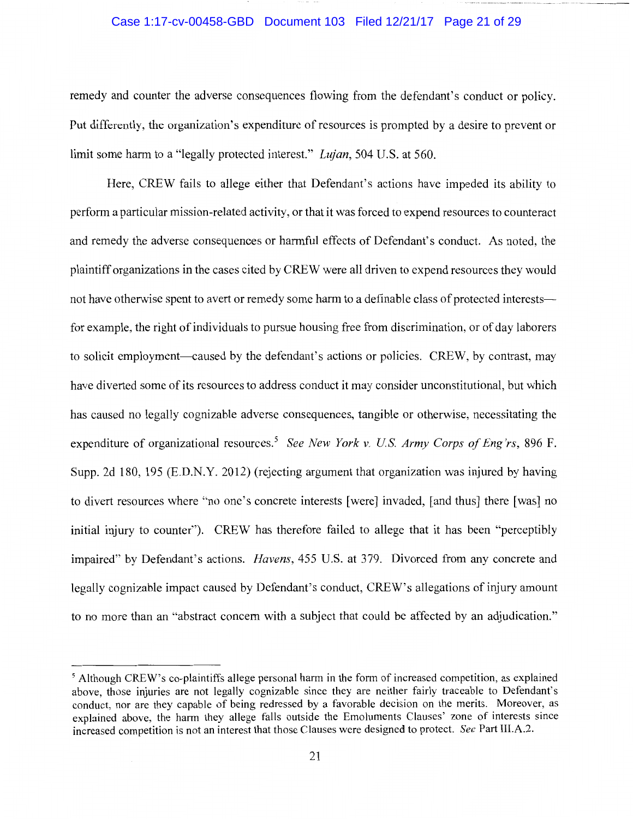#### Case 1:17-cv-00458-GBD Document 103 Filed 12/21/17 Page 21 of 29

remedy and counter the adverse consequences flowing from the defendant's conduct or policy. Put differently, the organization's expenditure of resources is prompted by a desire to prevent or limit some harm to a "legally protected interest." *Lujan,* 504 U.S. at 560.

Here, CREW fails to allege either that Defendant's actions have impeded its ability to perform a particular mission-related activity, or that it was forced to expend resources to counteract and remedy the adverse consequences or harmful effects of Defendant's conduct. As noted, the plaintiff organizations in the cases cited by CREW were all driven to expend resources they would not have otherwise spent to avert or remedy some harm to a definable class of protected interests for example, the right of individuals to pursue housing free from discrimination, or of day laborers to solicit employment—caused by the defendant's actions or policies. CREW, by contrast, may have diverted some of its resources to address conduct it may consider unconstitutional, but which has caused no legally cognizable adverse consequences, tangible or otherwise, necessitating the expenditure of organizational resources.<sup>5</sup> See New York v. U.S. Army Corps of Eng'rs, 896 F. Supp. 2d 180, 195 (E.D.N.Y. 2012) (rejecting argument that organization was injured by having to divert resources where "no one's concrete interests [were] invaded, [and thus] there [was] no initial injury to counter"). CREW has therefore failed to allege that it has been "perceptibly impaired" by Defendant's actions. *Havens,* 455 U.S. at 379. Divorced from any concrete and legally cognizable impact caused by Defendant's conduct, CREW's allegations of injury amount to no more than an "abstract concern with a subject that could be affected by an adjudication."

<sup>5</sup> Although CREW's co-plaintiffs allege personal harm in the form of increased competition, as explained above, those injuries are not legally cognizable since they are neither fairly traceable to Defendant's conduct, nor are they capable of being redressed by a favorable decision on the merits. Moreover, as explained above, the harm they allege falls outside the Emoluments Clauses' zone of interests since increased competition is not an interest that those Clauses were designed to protect. *See* Part III.A.2.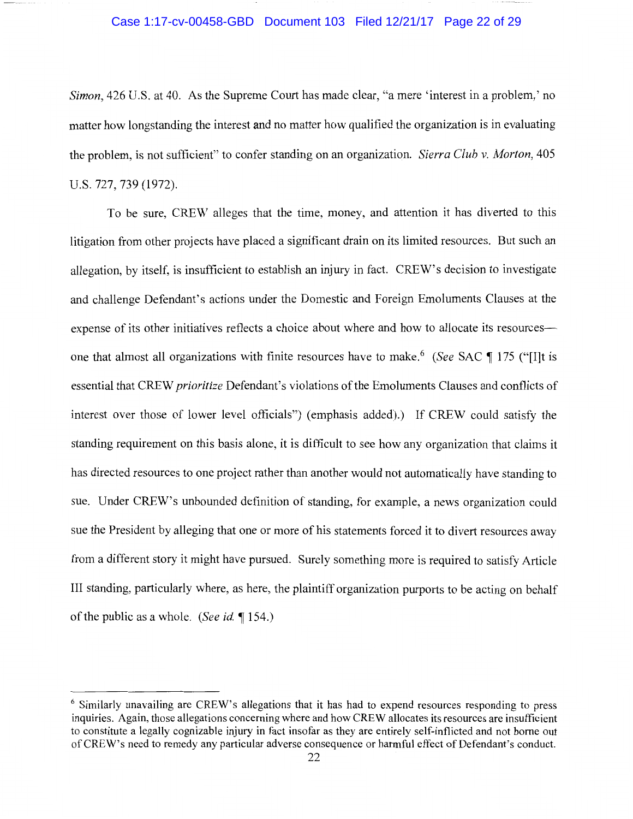### Case 1:17-cv-00458-GBD Document 103 Filed 12/21/17 Page 22 of 29

*Simon,* 426 U.S. at 40. As the Supreme Court has made clear, "a mere 'interest in a problem,' no matter how longstanding the interest and no matter how qualified the organization is in evaluating the problem, is not sufficient" to confer standing on an organization. *Sierra Club v. Morton,* 405 U.S. 727, 739 (1972).

To be sure, CREW alleges that the time, money, and attention it has diverted to this litigation from other projects have placed a significant drain on its limited resources. But such an allegation, by itself, is insufficient to establish an injury in fact. CREW's decision to investigate and challenge Defendant's actions under the Domestic and Foreign Emoluments Clauses at the expense of its other initiatives reflects a choice about where and how to allocate its resources one that almost all organizations with finite resources have to make.<sup>6</sup> (See SAC ¶ 175 ("[I]t is essential that CREW *prioritize* Defendant's violations of the Emoluments Clauses and conflicts of interest over those of lower level officials") (emphasis added).) If CREW could satisfy the standing requirement on this basis alone, it is difficult to see how any organization that claims it has directed resources to one project rather than another would not automatically have standing to sue. Under CREW's unbounded definition of standing, for example, a news organization could sue the President by alleging that one or more of his statements forced it to divert resources away from a different story it might have pursued. Surely something more is required to satisfy Article III standing, particularly where, as here, the plaintiff organization purports to be acting on behalf of the public as a whole. *(See id.* 154.)

<sup>&</sup>lt;sup>6</sup> Similarly unavailing are CREW's allegations that it has had to expend resources responding to press inquiries. Again, those allegations concerning where and how CREW allocates its resources are insufficient to constitute a legally cognizable injury in fact insofar as they are entirely self-inflicted and not borne out of CREW's need to remedy any particular adverse consequence or harmful effect of Defendant's conduct.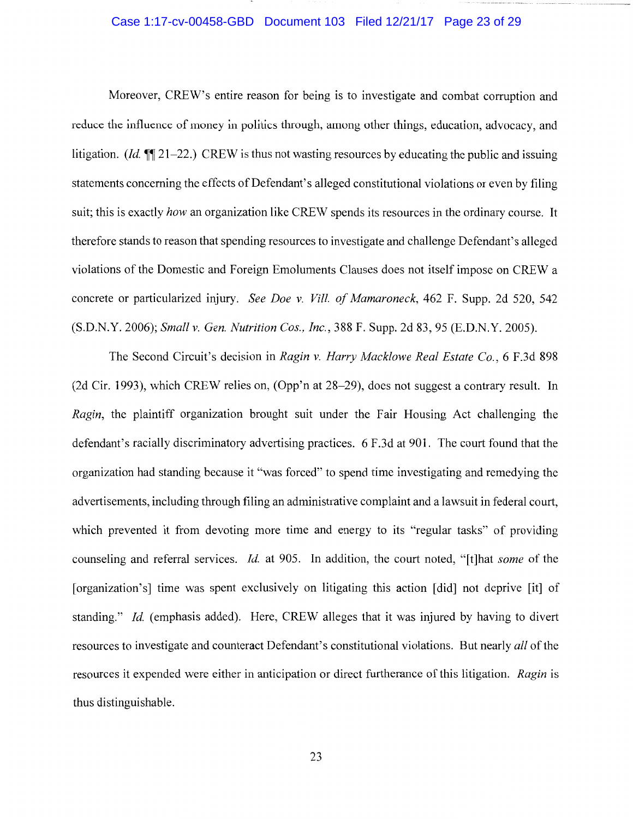## Case 1:17-cv-00458-GBD Document 103 Filed 12/21/17 Page 23 of 29

Moreover, CREW's entire reason for being is to investigate and combat corruption and reduce the influence of money in politics through, among other things, education, advocacy, and litigation. *(Id.* **1** 21–22.) CREW is thus not wasting resources by educating the public and issuing statements concerning the effects of Defendant's alleged constitutional violations or even by filing suit; this is exactly *how* an organization like CREW spends its resources in the ordinary course. It therefore stands to reason that spending resources to investigate and challenge Defendant's alleged violations of the Domestic and Foreign Emoluments Clauses does not itself impose on CREW a concrete or particularized injury. *See Doe v. Vill. of Mamaroneck,* 462 F. Supp. 2d 520, 542 (S.D.N.Y. 2006); *Small* v. *Gen. Nutrition Cos., Inc.,* 388 F. Supp. 2d 83, 95 (E.D.N.Y. 2005).

The Second Circuit's decision in *Ragin* v. *Harry Macklowe Real Estate Co.,* 6 F.3d 898 (2d Cir. 1993), which CREW relies on, (Opp'n at 28-29), does not suggest a contrary result. In *Ragin,* the plaintiff organization brought suit under the Fair Housing Act challenging the defendant's racially discriminatory advertising practices. 6 F.3d at 901. The court found that the organization had standing because it "was forced" to spend time investigating and remedying the advertisements, including through filing an administrative complaint and a lawsuit in federal court, which prevented it from devoting more time and energy to its "regular tasks" of providing counseling and referral services. *Id.* at 905. In addition, the court noted, "[t]hat *some* of the [organization's] time was spent exclusively on litigating this action [did] not deprive [it] of standing." *Id.* (emphasis added). Here, CREW alleges that it was injured by having to divert resources to investigate and counteract Defendant's constitutional violations. But nearly *all* of the resources it expended were either in anticipation or direct furtherance of this litigation. *Ragin* is thus distinguishable.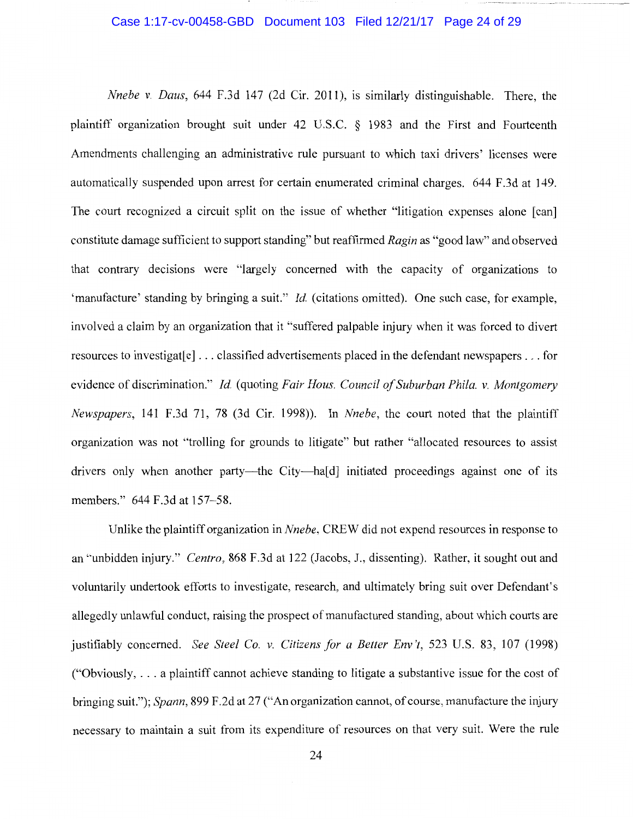#### Case 1:17-cv-00458-GBD Document 103 Filed 12/21/17 Page 24 of 29

*Nnebe v. Daus,* 644 F.3d 147 (2d Cir. 2011), is similarly distinguishable. There, the plaintiff organization brought suit under 42 U.S.C. § 1983 and the First and Fourteenth Amendments challenging an administrative rule pursuant to which taxi drivers' licenses were automatically suspended upon arrest for certain enumerated criminal charges. 644 F.3d at 149. The court recognized a circuit split on the issue of whether "litigation expenses alone [can] constitute damage sufficient to support standing" but reaffirmed *Ragin* as "good law" and observed that contrary decisions were "largely concerned with the capacity of organizations to 'manufacture' standing by bringing a suit." *Id.* (citations omitted). One such case, for example, involved a claim by an organization that it "suffered palpable injury when it was forced to divert resources to investigat [e] ... classified advertisements placed in the defendant newspapers ... for evidence of discrimination." *Id.* (quoting *Fair Haus. Council of Suburban Phila. v. Montgomery Newspapers,* 141 F.3d 71, 78 (3d Cir. 1998)). In *Nnebe,* the court noted that the plaintiff organization was not "trolling for grounds to litigate" but rather "allocated resources to assist drivers only when another party—the City—ha[d] initiated proceedings against one of its members." 644 F.3d at 157-58.

Unlike the plaintiff organization in *Nnebe,* CREW did not expend resources in response to an "unbidden injury." *Centro,* 868 F.3d at 122 (Jacobs, J., dissenting). Rather, it sought out and voluntarily undertook efforts to investigate, research, and ultimately bring suit over Defendant's allegedly unlawful conduct, raising the prospect of manufactured standing, about which courts are justifiably concerned. *See Steel Co. v. Citizens for a Better Env 't,* 523 U.S. 83, 107 (1998) ("Obviously, ... a plaintiff cannot achieve standing to litigate a substantive issue for the cost of bringing suit."); *Spann,* 899 F.2d at 27 ("An organization cannot, of course, manufacture the injury necessary to maintain a suit from its expenditure of resources on that very suit. Were the rule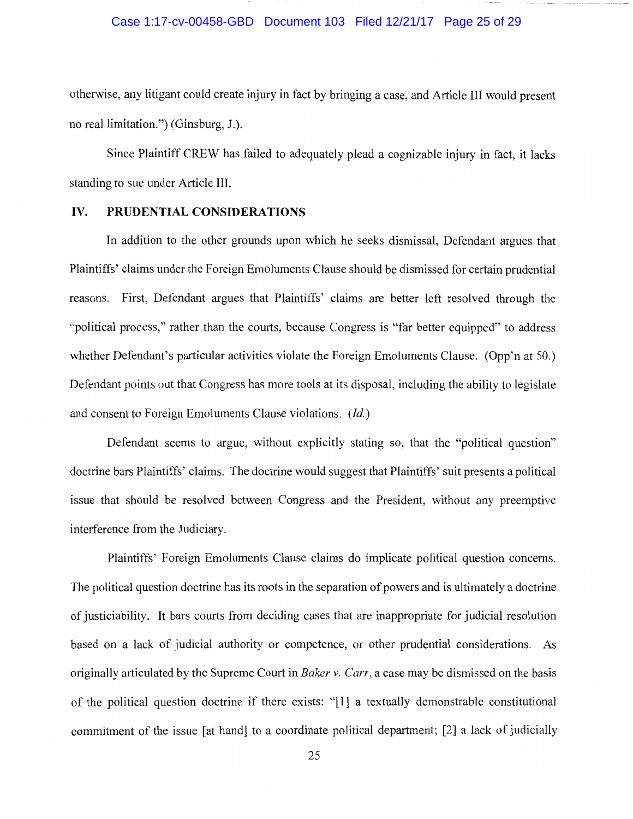#### Case 1:17-cv-00458-GBD Document 103 Filed 12/21/17 Page 25 of 29

otherwise, any litigant could create injury in fact by bringing a case, and Article III would present no real limitation.") (Ginsburg, J.).

Since Plaintiff CREW has failed to adequately plead a cognizable injury in fact, it lacks standing to sue under Article III.

### IV. **PRUDENTIAL CONSIDERATIONS**

In addition to the other grounds upon which he seeks dismissal, Defendant argues that Plaintiffs' claims under the Foreign Emoluments Clause should be dismissed for certain prudential reasons. First, Defendant argues that Plaintiffs' claims are better left resolved through the "political process," rather than the courts, because Congress is "far better equipped" to address whether Defendant's particular activities violate the Foreign Emoluments Clause. (Opp'n at 50.) Defendant points out that Congress has more tools at its disposal, including the ability to legislate and consent to Foreign Emoluments Clause violations. (Id.)

Defendant seems to argue, without explicitly stating so, that the "political question" doctrine bars Plaintiffs' claims. The doctrine would suggest that Plaintiffs' suit presents a political issue that should be resolved between Congress and the President, without any preemptive interference from the Judiciary.

Plaintiffs' Foreign Emoluments Clause claims do implicate political question concerns. The political question doctrine has its roots in the separation of powers and is ultimately a doctrine of justiciability. It bars courts from deciding cases that are inappropriate for judicial resolution based on a lack of judicial authority or competence, or other prudential considerations. As originally articulated by the Supreme Court in *Baker v. Carr,* a case may be dismissed on the basis of the political question doctrine if there exists: "[l] a textually demonstrable constitutional commitment of the issue [at hand] to a coordinate political department; [2] a lack of judicially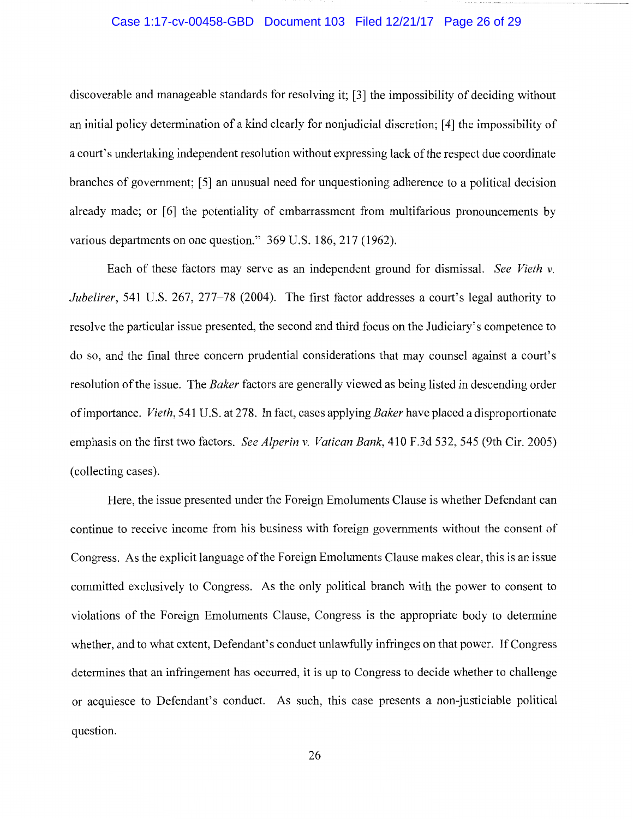# Case 1:17-cv-00458-GBD Document 103 Filed 12/21/17 Page 26 of 29

discoverable and manageable standards for resolving it; [3] the impossibility of deciding without an initial policy determination of a kind clearly for nonjudicial discretion; [4] the impossibility of a court's undertaking independent resolution without expressing lack of the respect due coordinate branches of government; [5] an unusual need for unquestioning adherence to a political decision already made; or [6] the potentiality of embarrassment from multifarious pronouncements by various departments on one question." 369 U.S. 186, 217 (1962).

Each of these factors may serve as an independent ground for dismissal. *See Vieth v. Jubelirer,* 541 U.S. 267, 277-78 (2004). The first factor addresses a court's legal authority to resolve the particular issue presented, the second and third focus on the Judiciary's competence to do so, and the final three concern prudential considerations that may counsel against a court's resolution of the issue. The *Baker* factors are generally viewed as being listed in descending order of importance. *Vieth,* 541 U.S. at 278. In fact, cases applying *Baker* have placed a disproportionate emphasis on the first two factors. *See Alperin v. Vatican Bank,* 410 F.3d 532, 545 (9th Cir. 2005) (collecting cases).

Here, the issue presented under the Foreign Emoluments Clause is whether Defendant can continue to receive income from his business with foreign governments without the consent of Congress. As the explicit language of the Foreign Emoluments Clause makes clear, this is an issue committed exclusively to Congress. As the only political branch with the power to consent to violations of the Foreign Emoluments Clause, Congress is the appropriate body to determine whether, and to what extent, Defendant's conduct unlawfully infringes on that power. If Congress determines that an infringement has occurred, it is up to Congress to decide whether to challenge or acquiesce to Defendant's conduct. As such, this case presents a non-justiciable political question.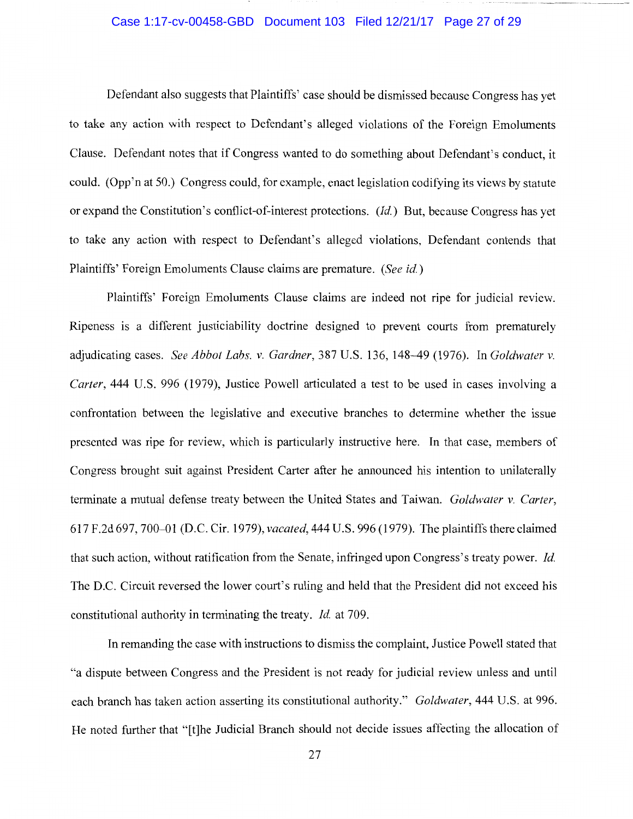### Case 1:17-cv-00458-GBD Document 103 Filed 12/21/17 Page 27 of 29

Defendant also suggests that Plaintiffs' case should be dismissed because Congress has yet to take any action with respect to Defendant's alleged violations of the Foreign Emoluments Clause. Defendant notes that if Congress wanted to do something about Defendant's conduct, it could. (Opp'n at 50.) Congress could, for example, enact legislation codifying its views by statute or expand the Constitution's conflict-of-interest protections. *(Id.)* But, because Congress has yet to take any action with respect to Defendant's alleged violations, Defendant contends that Plaintiffs' Foreign Emoluments Clause claims are premature. *(See id.)* 

Plaintiffs' Foreign Emoluments Clause claims are indeed not ripe for judicial review. Ripeness is a different justiciability doctrine designed to prevent courts from prematurely adjudicating cases. *See Abbot Labs. v. Gardner,* 387 U.S. 136, 148--49 (1976). In *Goldwater v. Carter,* 444 U.S. 996 (1979), Justice Powell articulated a test to be used in cases involving a confrontation between the legislative and executive branches to determine whether the issue presented was ripe for review, which is particularly instructive here. In that case, members of Congress brought suit against President Carter after he announced his intention to unilaterally terminate a mutual defense treaty between the United States and Taiwan. *Goldwater v. Carter,*  617 F.2d 697, 700-01 (D.C. Cir. 1979), *vacated,* 444 U.S. 996 (1979). The plaintiffs there claimed that such action, without ratification from the Senate, infringed upon Congress's treaty power. *Id.*  The D.C. Circuit reversed the lower court's ruling and held that the President did not exceed his constitutional authority in terminating the treaty. *Id.* at 709.

In remanding the case with instructions to dismiss the complaint, Justice Powell stated that "a dispute between Congress and the President is not ready for judicial review unless and until each branch has taken action asserting its constitutional authority." *Goldwater,* 444 U.S. at 996. He noted further that "[t]he Judicial Branch should not decide issues affecting the allocation of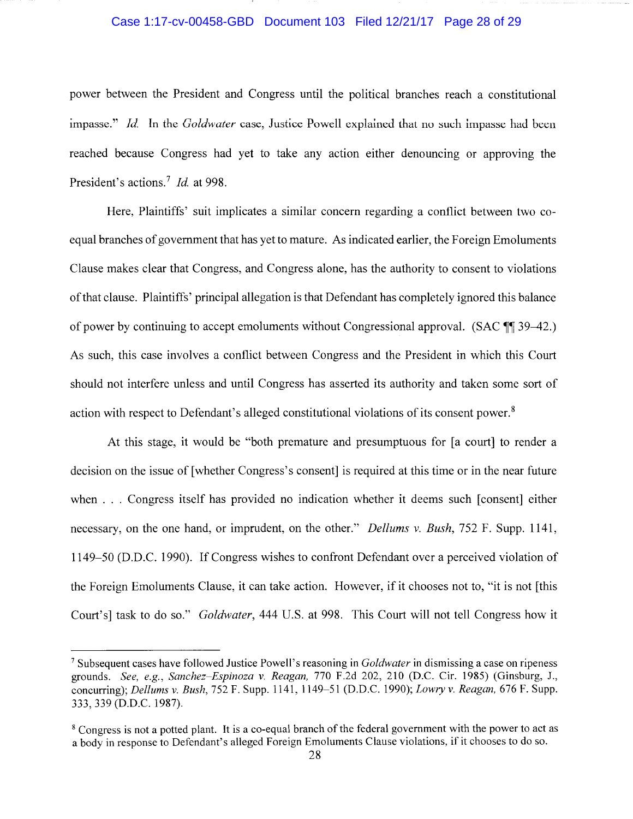#### Case 1:17-cv-00458-GBD Document 103 Filed 12/21/17 Page 28 of 29

power between the President and Congress until the political branches reach a constitutional impasse." *Id.* In the *Goldwater* case, Justice Powell explained that no such impasse had been reached because Congress had yet to take any action either denouncing or approving the President's actions.<sup>7</sup> *Id.* at 998.

Here, Plaintiffs' suit implicates a similar concern regarding a conflict between two coequal branches of government that has yet to mature. As indicated earlier, the Foreign Emoluments Clause makes clear that Congress, and Congress alone, has the authority to consent to violations of that clause. Plaintiffs' principal allegation is that Defendant has completely ignored this balance of power by continuing to accept emoluments without Congressional approval. (SAC ¶¶ 39–42.) As such, this case involves a conflict between Congress and the President in which this Court should not interfere unless and until Congress has asserted its authority and taken some sort of action with respect to Defendant's alleged constitutional violations of its consent power.<sup>8</sup>

At this stage, it would be "both premature and presumptuous for [a court] to render a decision on the issue of [whether Congress's consent] is required at this time or in the near future when ... Congress itself has provided no indication whether it deems such [consent] either necessary, on the one hand, or imprudent, on the other." *Dellums v. Bush,* 752 F. Supp. 1141, 1149-50 (D.D.C. 1990). If Congress wishes to confront Defendant over a perceived violation of the Foreign Emoluments Clause, it can take action. However, if it chooses not to, "it is not [this Court's] task to do so." *Goldwater,* 444 U.S. at 998. This Court will not tell Congress how it

<sup>7</sup> Subsequent cases have followed Justice Powell's reasoning in *Goldwater* in dismissing a case on ripeness grounds. *See, e.g., Sanchez-Espinoza v. Reagan,* 770 F.2d 202, 210 (D.C. Cir. 1985) (Ginsburg, J., concurring); *Dellums v. Bush,* 752 F. Supp. 1141, 1149-51(D.D.C.1990); *Lowry v. Reagan,* 676 F. Supp. 333, 339 (D.D.C. 1987).

<sup>&</sup>lt;sup>8</sup> Congress is not a potted plant. It is a co-equal branch of the federal government with the power to act as a body in response to Defendant's alleged Foreign Emoluments Clause violations, if it chooses to do so.